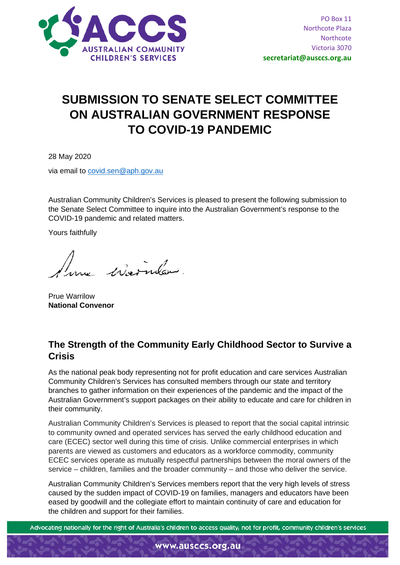

## **SUBMISSION TO SENATE SELECT COMMITTEE ON AUSTRALIAN GOVERNMENT RESPONSE TO COVID-19 PANDEMIC**

28 May 2020

via email to [covid.sen@aph.gov.au](mailto:covid.sen@aph.gov.au)

Australian Community Children's Services is pleased to present the following submission to the Senate Select Committee to inquire into the Australian Government's response to the COVID-19 pandemic and related matters.

Yours faithfully

au colornales

Prue Warrilow **National Convenor**

## **The Strength of the Community Early Childhood Sector to Survive a Crisis**

As the national peak body representing not for profit education and care services Australian Community Children's Services has consulted members through our state and territory branches to gather information on their experiences of the pandemic and the impact of the Australian Government's support packages on their ability to educate and care for children in their community.

Australian Community Children's Services is pleased to report that the social capital intrinsic to community owned and operated services has served the early childhood education and care (ECEC) sector well during this time of crisis. Unlike commercial enterprises in which parents are viewed as customers and educators as a workforce commodity, community ECEC services operate as mutually respectful partnerships between the moral owners of the service – children, families and the broader community – and those who deliver the service.

Australian Community Children's Services members report that the very high levels of stress caused by the sudden impact of COVID-19 on families, managers and educators have been eased by goodwill and the collegiate effort to maintain continuity of care and education for the children and support for their families.

Advocating nationally for the right of Australia's children to access quality, not for profit, community children's services

www.ausccs.org.au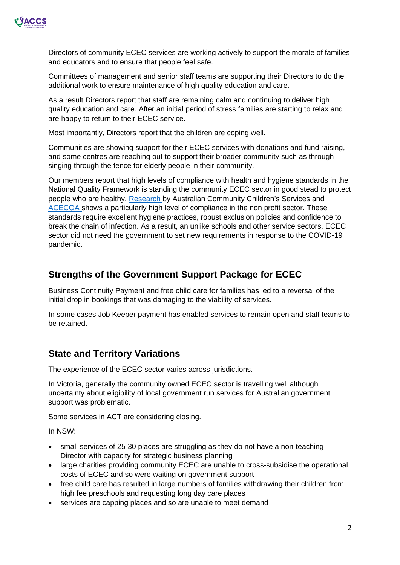

Directors of community ECEC services are working actively to support the morale of families and educators and to ensure that people feel safe.

Committees of management and senior staff teams are supporting their Directors to do the additional work to ensure maintenance of high quality education and care.

As a result Directors report that staff are remaining calm and continuing to deliver high quality education and care. After an initial period of stress families are starting to relax and are happy to return to their ECEC service.

Most importantly, Directors report that the children are coping well.

Communities are showing support for their ECEC services with donations and fund raising, and some centres are reaching out to support their broader community such as through singing through the fence for elderly people in their community.

Our members report that high levels of compliance with health and hygiene standards in the National Quality Framework is standing the community ECEC sector in good stead to protect people who are healthy. [Research b](http://ausccs.org.au/?page_id=93)y Australian Community Children's Services and [ACECQA s](https://www.acecqa.gov.au/sites/default/files/2020-05/NQFSnapshot_Q1May2020.pdf)hows a particularly high level of compliance in the non profit sector. These standards require excellent hygiene practices, robust exclusion policies and confidence to break the chain of infection. As a result, an unlike schools and other service sectors, ECEC sector did not need the government to set new requirements in response to the COVID-19 pandemic.

### **Strengths of the Government Support Package for ECEC**

Business Continuity Payment and free child care for families has led to a reversal of the initial drop in bookings that was damaging to the viability of services.

In some cases Job Keeper payment has enabled services to remain open and staff teams to be retained.

## **State and Territory Variations**

The experience of the ECEC sector varies across jurisdictions.

In Victoria, generally the community owned ECEC sector is travelling well although uncertainty about eligibility of local government run services for Australian government support was problematic.

Some services in ACT are considering closing.

In NSW:

- small services of 25-30 places are struggling as they do not have a non-teaching Director with capacity for strategic business planning
- large charities providing community ECEC are unable to cross-subsidise the operational costs of ECEC and so were waiting on government support
- free child care has resulted in large numbers of families withdrawing their children from high fee preschools and requesting long day care places
- services are capping places and so are unable to meet demand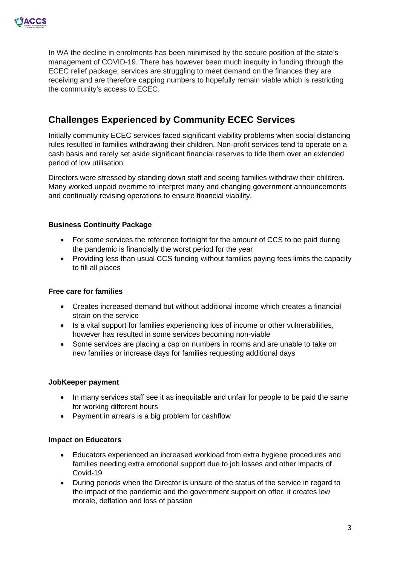

In WA the decline in enrolments has been minimised by the secure position of the state's management of COVID-19. There has however been much inequity in funding through the ECEC relief package, services are struggling to meet demand on the finances they are receiving and are therefore capping numbers to hopefully remain viable which is restricting the community's access to ECEC.

## **Challenges Experienced by Community ECEC Services**

Initially community ECEC services faced significant viability problems when social distancing rules resulted in families withdrawing their children. Non-profit services tend to operate on a cash basis and rarely set aside significant financial reserves to tide them over an extended period of low utilisation.

Directors were stressed by standing down staff and seeing families withdraw their children. Many worked unpaid overtime to interpret many and changing government announcements and continually revising operations to ensure financial viability.

#### **Business Continuity Package**

- For some services the reference fortnight for the amount of CCS to be paid during the pandemic is financially the worst period for the year
- Providing less than usual CCS funding without families paying fees limits the capacity to fill all places

#### **Free care for families**

- Creates increased demand but without additional income which creates a financial strain on the service
- Is a vital support for families experiencing loss of income or other vulnerabilities, however has resulted in some services becoming non-viable
- Some services are placing a cap on numbers in rooms and are unable to take on new families or increase days for families requesting additional days

#### **JobKeeper payment**

- In many services staff see it as inequitable and unfair for people to be paid the same for working different hours
- Payment in arrears is a big problem for cashflow

#### **Impact on Educators**

- Educators experienced an increased workload from extra hygiene procedures and families needing extra emotional support due to job losses and other impacts of Covid-19
- During periods when the Director is unsure of the status of the service in regard to the impact of the pandemic and the government support on offer, it creates low morale, deflation and loss of passion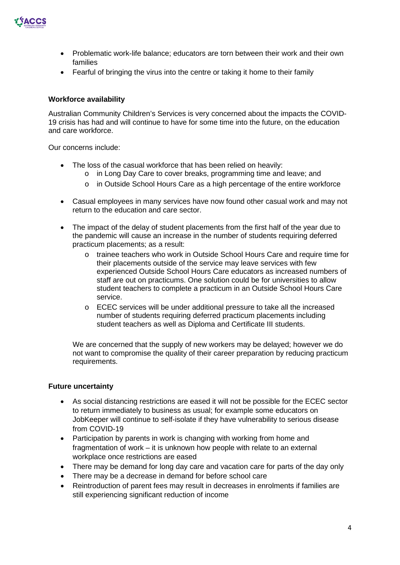

- Problematic work-life balance; educators are torn between their work and their own families
- Fearful of bringing the virus into the centre or taking it home to their family

#### **Workforce availability**

Australian Community Children's Services is very concerned about the impacts the COVID-19 crisis has had and will continue to have for some time into the future, on the education and care workforce.

Our concerns include:

- The loss of the casual workforce that has been relied on heavily:
	- o in Long Day Care to cover breaks, programming time and leave; and
	- $\circ$  in Outside School Hours Care as a high percentage of the entire workforce
- Casual employees in many services have now found other casual work and may not return to the education and care sector.
- The impact of the delay of student placements from the first half of the year due to the pandemic will cause an increase in the number of students requiring deferred practicum placements; as a result:
	- o trainee teachers who work in Outside School Hours Care and require time for their placements outside of the service may leave services with few experienced Outside School Hours Care educators as increased numbers of staff are out on practicums. One solution could be for universities to allow student teachers to complete a practicum in an Outside School Hours Care service.
	- o ECEC services will be under additional pressure to take all the increased number of students requiring deferred practicum placements including student teachers as well as Diploma and Certificate III students.

We are concerned that the supply of new workers may be delayed; however we do not want to compromise the quality of their career preparation by reducing practicum requirements.

#### **Future uncertainty**

- As social distancing restrictions are eased it will not be possible for the ECEC sector to return immediately to business as usual; for example some educators on JobKeeper will continue to self-isolate if they have vulnerability to serious disease from COVID-19
- Participation by parents in work is changing with working from home and fragmentation of work – it is unknown how people with relate to an external workplace once restrictions are eased
- There may be demand for long day care and vacation care for parts of the day only
- There may be a decrease in demand for before school care
- Reintroduction of parent fees may result in decreases in enrolments if families are still experiencing significant reduction of income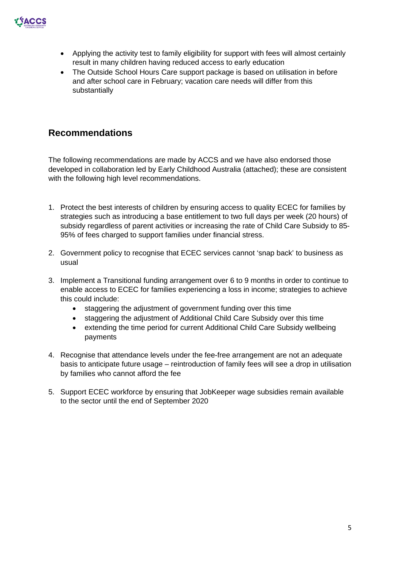

- Applying the activity test to family eligibility for support with fees will almost certainly result in many children having reduced access to early education
- The Outside School Hours Care support package is based on utilisation in before and after school care in February; vacation care needs will differ from this substantially

## **Recommendations**

The following recommendations are made by ACCS and we have also endorsed those developed in collaboration led by Early Childhood Australia (attached); these are consistent with the following high level recommendations.

- 1. Protect the best interests of children by ensuring access to quality ECEC for families by strategies such as introducing a base entitlement to two full days per week (20 hours) of subsidy regardless of parent activities or increasing the rate of Child Care Subsidy to 85- 95% of fees charged to support families under financial stress.
- 2. Government policy to recognise that ECEC services cannot 'snap back' to business as usual
- 3. Implement a Transitional funding arrangement over 6 to 9 months in order to continue to enable access to ECEC for families experiencing a loss in income; strategies to achieve this could include:
	- staggering the adjustment of government funding over this time
	- staggering the adjustment of Additional Child Care Subsidy over this time
	- extending the time period for current Additional Child Care Subsidy wellbeing payments
- 4. Recognise that attendance levels under the fee-free arrangement are not an adequate basis to anticipate future usage – reintroduction of family fees will see a drop in utilisation by families who cannot afford the fee
- 5. Support ECEC workforce by ensuring that JobKeeper wage subsidies remain available to the sector until the end of September 2020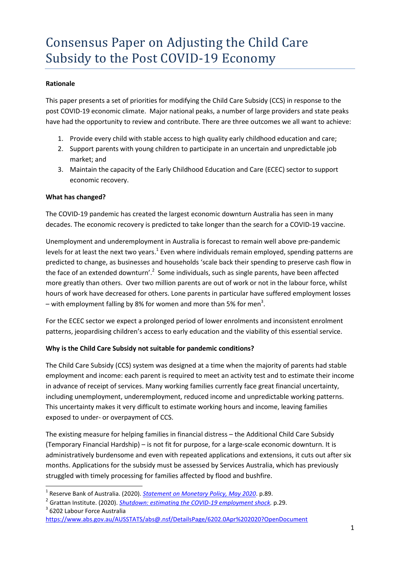# Consensus Paper on Adjusting the Child Care Subsidy to the Post COVID-19 Economy

#### **Rationale**

This paper presents a set of priorities for modifying the Child Care Subsidy (CCS) in response to the post COVID-19 economic climate. Major national peaks, a number of large providers and state peaks have had the opportunity to review and contribute. There are three outcomes we all want to achieve:

- 1. Provide every child with stable access to high quality early childhood education and care;
- 2. Support parents with young children to participate in an uncertain and unpredictable job market; and
- 3. Maintain the capacity of the Early Childhood Education and Care (ECEC) sector to support economic recovery.

#### **What has changed?**

 $\overline{\phantom{a}}$ 

The COVID-19 pandemic has created the largest economic downturn Australia has seen in many decades. The economic recovery is predicted to take longer than the search for a COVID-19 vaccine.

Unemployment and underemployment in Australia is forecast to remain well above pre-pandemic levels for at least the next two years.<sup>1</sup> Even where individuals remain employed, spending patterns are predicted to change, as businesses and households 'scale back their spending to preserve cash flow in the face of an extended downturn'.<sup>2</sup> Some individuals, such as single parents, have been affected more greatly than others. Over two million parents are out of work or not in the labour force, whilst hours of work have decreased for others. Lone parents in particular have suffered employment losses – with employment falling by 8% for women and more than 5% for men<sup>3</sup>.

For the ECEC sector we expect a prolonged period of lower enrolments and inconsistent enrolment patterns, jeopardising children's access to early education and the viability of this essential service.

#### **Why is the Child Care Subsidy not suitable for pandemic conditions?**

The Child Care Subsidy (CCS) system was designed at a time when the majority of parents had stable employment and income: each parent is required to meet an activity test and to estimate their income in advance of receipt of services. Many working families currently face great financial uncertainty, including unemployment, underemployment, reduced income and unpredictable working patterns. This uncertainty makes it very difficult to estimate working hours and income, leaving families exposed to under- or overpayment of CCS.

The existing measure for helping families in financial distress – the Additional Child Care Subsidy (Temporary Financial Hardship) – is not fit for purpose, for a large-scale economic downturn. It is administratively burdensome and even with repeated applications and extensions, it cuts out after six months. Applications for the subsidy must be assessed by Services Australia, which has previously struggled with timely processing for families affected by flood and bushfire.

<sup>3</sup> 6202 Labour Force Australia <https://www.abs.gov.au/AUSSTATS/abs@.nsf/DetailsPage/6202.0Apr%202020?OpenDocument>

<sup>&</sup>lt;sup>1</sup> Reserve Bank of Australia. (2020). <u>[Statement on Monetary Policy, May 2020](https://www.rba.gov.au/publications/smp/2020/may/)</u>. p.89.

<sup>2</sup> Grattan Institute. (2020). *[Shutdown: estimating the COVID-19 employment shock.](https://grattan.edu.au/report/shutdown-estimating-the-covid-19-employment-shock/)* p.29.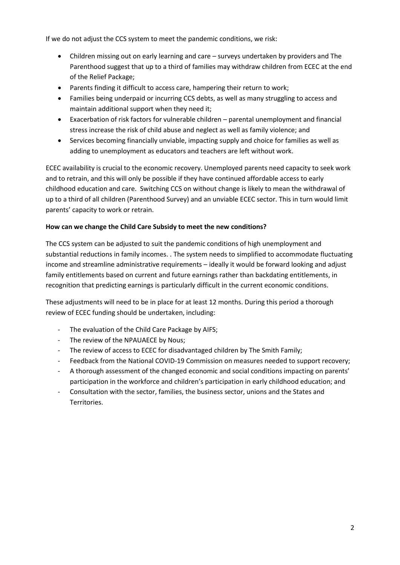If we do not adjust the CCS system to meet the pandemic conditions, we risk:

- Children missing out on early learning and care surveys undertaken by providers and The Parenthood suggest that up to a third of families may withdraw children from ECEC at the end of the Relief Package;
- Parents finding it difficult to access care, hampering their return to work;
- Families being underpaid or incurring CCS debts, as well as many struggling to access and maintain additional support when they need it;
- Exacerbation of risk factors for vulnerable children parental unemployment and financial stress increase the risk of child abuse and neglect as well as family violence; and
- Services becoming financially unviable, impacting supply and choice for families as well as adding to unemployment as educators and teachers are left without work.

ECEC availability is crucial to the economic recovery. Unemployed parents need capacity to seek work and to retrain, and this will only be possible if they have continued affordable access to early childhood education and care. Switching CCS on without change is likely to mean the withdrawal of up to a third of all children (Parenthood Survey) and an unviable ECEC sector. This in turn would limit parents' capacity to work or retrain.

#### **How can we change the Child Care Subsidy to meet the new conditions?**

The CCS system can be adjusted to suit the pandemic conditions of high unemployment and substantial reductions in family incomes. . The system needs to simplified to accommodate fluctuating income and streamline administrative requirements – ideally it would be forward looking and adjust family entitlements based on current and future earnings rather than backdating entitlements, in recognition that predicting earnings is particularly difficult in the current economic conditions.

These adjustments will need to be in place for at least 12 months. During this period a thorough review of ECEC funding should be undertaken, including:

- The evaluation of the Child Care Package by AIFS;
- The review of the NPAUAECE by Nous;
- The review of access to ECEC for disadvantaged children by The Smith Family;
- Feedback from the National COVID-19 Commission on measures needed to support recovery;
- A thorough assessment of the changed economic and social conditions impacting on parents' participation in the workforce and children's participation in early childhood education; and
- Consultation with the sector, families, the business sector, unions and the States and Territories.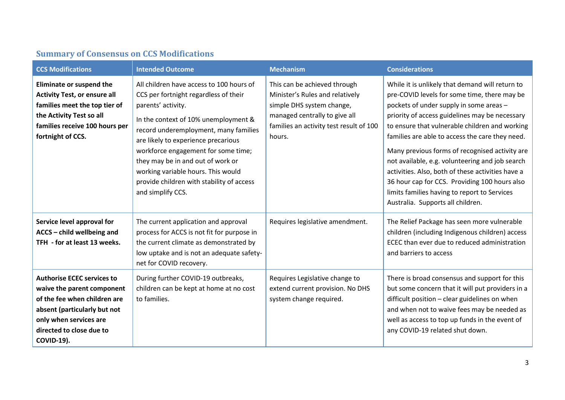|  |  | <b>Summary of Consensus on CCS Modifications</b> |
|--|--|--------------------------------------------------|
|--|--|--------------------------------------------------|

| <b>CCS Modifications</b>                                                                                                                                                                                   | <b>Intended Outcome</b>                                                                                                                                                                                                                                                                                                                                                                                             | <b>Mechanism</b>                                                                                                                                                                   | <b>Considerations</b>                                                                                                                                                                                                                                                                                                                                                                                                                                                                                                                                                                             |
|------------------------------------------------------------------------------------------------------------------------------------------------------------------------------------------------------------|---------------------------------------------------------------------------------------------------------------------------------------------------------------------------------------------------------------------------------------------------------------------------------------------------------------------------------------------------------------------------------------------------------------------|------------------------------------------------------------------------------------------------------------------------------------------------------------------------------------|---------------------------------------------------------------------------------------------------------------------------------------------------------------------------------------------------------------------------------------------------------------------------------------------------------------------------------------------------------------------------------------------------------------------------------------------------------------------------------------------------------------------------------------------------------------------------------------------------|
| Eliminate or suspend the<br><b>Activity Test, or ensure all</b><br>families meet the top tier of<br>the Activity Test so all<br>families receive 100 hours per<br>fortnight of CCS.                        | All children have access to 100 hours of<br>CCS per fortnight regardless of their<br>parents' activity.<br>In the context of 10% unemployment &<br>record underemployment, many families<br>are likely to experience precarious<br>workforce engagement for some time;<br>they may be in and out of work or<br>working variable hours. This would<br>provide children with stability of access<br>and simplify CCS. | This can be achieved through<br>Minister's Rules and relatively<br>simple DHS system change,<br>managed centrally to give all<br>families an activity test result of 100<br>hours. | While it is unlikely that demand will return to<br>pre-COVID levels for some time, there may be<br>pockets of under supply in some areas -<br>priority of access guidelines may be necessary<br>to ensure that vulnerable children and working<br>families are able to access the care they need.<br>Many previous forms of recognised activity are<br>not available, e.g. volunteering and job search<br>activities. Also, both of these activities have a<br>36 hour cap for CCS. Providing 100 hours also<br>limits families having to report to Services<br>Australia. Supports all children. |
| Service level approval for<br>ACCS - child wellbeing and<br>TFH - for at least 13 weeks.                                                                                                                   | The current application and approval<br>process for ACCS is not fit for purpose in<br>the current climate as demonstrated by<br>low uptake and is not an adequate safety-<br>net for COVID recovery.                                                                                                                                                                                                                | Requires legislative amendment.                                                                                                                                                    | The Relief Package has seen more vulnerable<br>children (including Indigenous children) access<br>ECEC than ever due to reduced administration<br>and barriers to access                                                                                                                                                                                                                                                                                                                                                                                                                          |
| <b>Authorise ECEC services to</b><br>waive the parent component<br>of the fee when children are<br>absent (particularly but not<br>only when services are<br>directed to close due to<br><b>COVID-19).</b> | During further COVID-19 outbreaks,<br>children can be kept at home at no cost<br>to families.                                                                                                                                                                                                                                                                                                                       | Requires Legislative change to<br>extend current provision. No DHS<br>system change required.                                                                                      | There is broad consensus and support for this<br>but some concern that it will put providers in a<br>difficult position - clear guidelines on when<br>and when not to waive fees may be needed as<br>well as access to top up funds in the event of<br>any COVID-19 related shut down.                                                                                                                                                                                                                                                                                                            |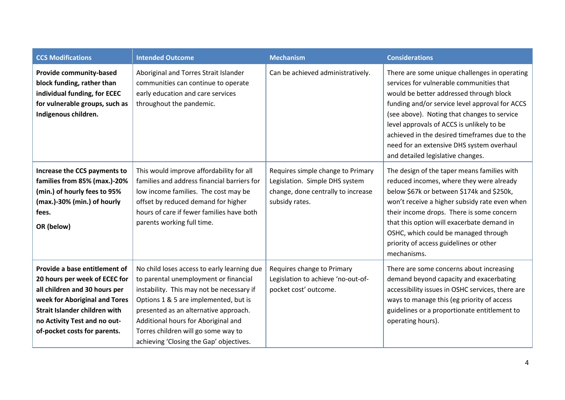| <b>CCS Modifications</b>                                                                                                                                                                                                          | <b>Intended Outcome</b>                                                                                                                                                                                                                                                                                                                      | <b>Mechanism</b>                                                                                                            | <b>Considerations</b>                                                                                                                                                                                                                                                                                                                                                                                                 |
|-----------------------------------------------------------------------------------------------------------------------------------------------------------------------------------------------------------------------------------|----------------------------------------------------------------------------------------------------------------------------------------------------------------------------------------------------------------------------------------------------------------------------------------------------------------------------------------------|-----------------------------------------------------------------------------------------------------------------------------|-----------------------------------------------------------------------------------------------------------------------------------------------------------------------------------------------------------------------------------------------------------------------------------------------------------------------------------------------------------------------------------------------------------------------|
| Provide community-based<br>block funding, rather than<br>individual funding, for ECEC<br>for vulnerable groups, such as<br>Indigenous children.                                                                                   | Aboriginal and Torres Strait Islander<br>communities can continue to operate<br>early education and care services<br>throughout the pandemic.                                                                                                                                                                                                | Can be achieved administratively.                                                                                           | There are some unique challenges in operating<br>services for vulnerable communities that<br>would be better addressed through block<br>funding and/or service level approval for ACCS<br>(see above). Noting that changes to service<br>level approvals of ACCS is unlikely to be<br>achieved in the desired timeframes due to the<br>need for an extensive DHS system overhaul<br>and detailed legislative changes. |
| Increase the CCS payments to<br>families from 85% (max.)-20%<br>(min.) of hourly fees to 95%<br>(max.)-30% (min.) of hourly<br>fees.<br>OR (below)                                                                                | This would improve affordability for all<br>families and address financial barriers for<br>low income families. The cost may be<br>offset by reduced demand for higher<br>hours of care if fewer families have both<br>parents working full time.                                                                                            | Requires simple change to Primary<br>Legislation. Simple DHS system<br>change, done centrally to increase<br>subsidy rates. | The design of the taper means families with<br>reduced incomes, where they were already<br>below \$67k or between \$174k and \$250k,<br>won't receive a higher subsidy rate even when<br>their income drops. There is some concern<br>that this option will exacerbate demand in<br>OSHC, which could be managed through<br>priority of access guidelines or other<br>mechanisms.                                     |
| Provide a base entitlement of<br>20 hours per week of ECEC for<br>all children and 30 hours per<br>week for Aboriginal and Tores<br>Strait Islander children with<br>no Activity Test and no out-<br>of-pocket costs for parents. | No child loses access to early learning due<br>to parental unemployment or financial<br>instability. This may not be necessary if<br>Options 1 & 5 are implemented, but is<br>presented as an alternative approach.<br>Additional hours for Aboriginal and<br>Torres children will go some way to<br>achieving 'Closing the Gap' objectives. | Requires change to Primary<br>Legislation to achieve 'no-out-of-<br>pocket cost' outcome.                                   | There are some concerns about increasing<br>demand beyond capacity and exacerbating<br>accessibility issues in OSHC services, there are<br>ways to manage this (eg priority of access<br>guidelines or a proportionate entitlement to<br>operating hours).                                                                                                                                                            |